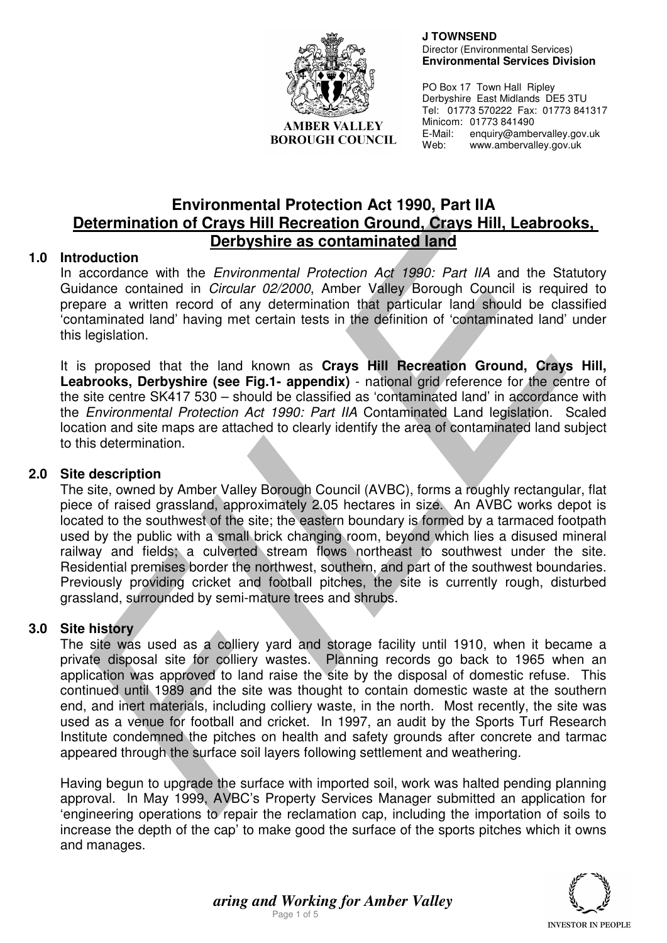

**AMBER VALLEY BOROUGH COUNCIL**   **J TOWNSEND**  Director (Environmental Services) **Environmental Services Division** 

PO Box 17 Town Hall Ripley Derbyshire East Midlands DE5 3TU Tel: 01773 570222 Fax: 01773 841317 Minicom: 01773 841490 E-Mail: enquiry@ambervalley.gov.uk Web: www.ambervalley.gov.uk

# **Environmental Protection Act 1990, Part IIA Determination of Crays Hill Recreation Ground, Crays Hill, Leabrooks, Derbyshire as contaminated land**

# **1.0 Introduction**

In accordance with the *Environmental Protection Act 1990: Part IIA* and the Statutory Guidance contained in Circular 02/2000, Amber Valley Borough Council is required to prepare a written record of any determination that particular land should be classified 'contaminated land' having met certain tests in the definition of 'contaminated land' under this legislation.

It is proposed that the land known as **Crays Hill Recreation Ground, Crays Hill, Leabrooks, Derbyshire (see Fig.1- appendix)** - national grid reference for the centre of the site centre SK417 530 – should be classified as 'contaminated land' in accordance with the Environmental Protection Act 1990: Part IIA Contaminated Land legislation. Scaled location and site maps are attached to clearly identify the area of contaminated land subject to this determination.

# **2.0 Site description**

The site, owned by Amber Valley Borough Council (AVBC), forms a roughly rectangular, flat piece of raised grassland, approximately 2.05 hectares in size. An AVBC works depot is located to the southwest of the site; the eastern boundary is formed by a tarmaced footpath used by the public with a small brick changing room, beyond which lies a disused mineral railway and fields; a culverted stream flows northeast to southwest under the site. Residential premises border the northwest, southern, and part of the southwest boundaries. Previously providing cricket and football pitches, the site is currently rough, disturbed grassland, surrounded by semi-mature trees and shrubs.

# **3.0 Site history**

The site was used as a colliery yard and storage facility until 1910, when it became a private disposal site for colliery wastes. Planning records go back to 1965 when an application was approved to land raise the site by the disposal of domestic refuse. This continued until 1989 and the site was thought to contain domestic waste at the southern end, and inert materials, including colliery waste, in the north. Most recently, the site was used as a venue for football and cricket. In 1997, an audit by the Sports Turf Research Institute condemned the pitches on health and safety grounds after concrete and tarmac appeared through the surface soil layers following settlement and weathering.

Having begun to upgrade the surface with imported soil, work was halted pending planning approval. In May 1999, AVBC's Property Services Manager submitted an application for 'engineering operations to repair the reclamation cap, including the importation of soils to increase the depth of the cap' to make good the surface of the sports pitches which it owns and manages.



*aring and Working for Amber Valley*  Page 1 of 5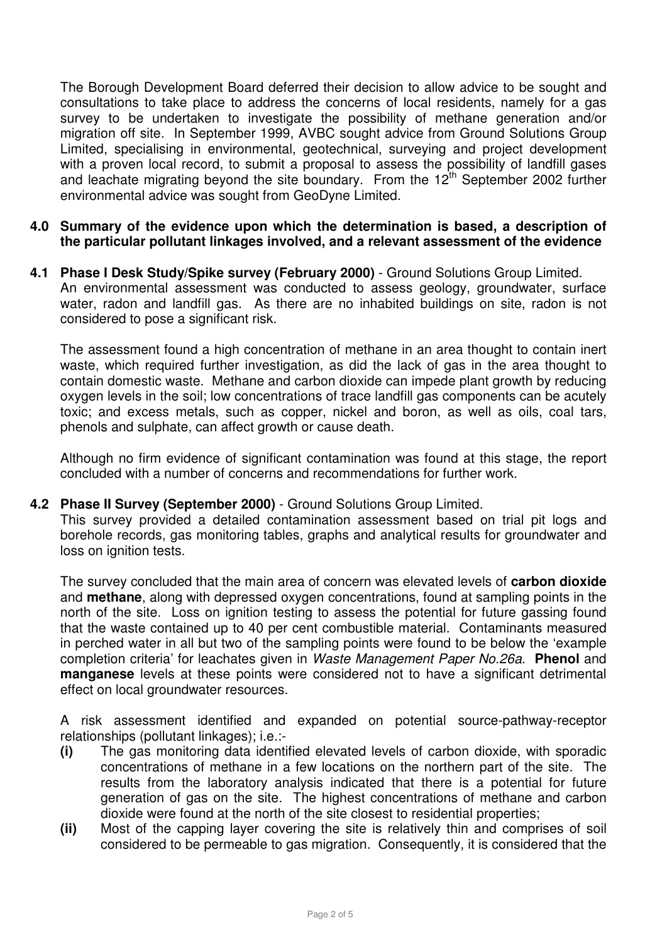The Borough Development Board deferred their decision to allow advice to be sought and consultations to take place to address the concerns of local residents, namely for a gas survey to be undertaken to investigate the possibility of methane generation and/or migration off site. In September 1999, AVBC sought advice from Ground Solutions Group Limited, specialising in environmental, geotechnical, surveying and project development with a proven local record, to submit a proposal to assess the possibility of landfill gases and leachate migrating beyond the site boundary. From the  $12<sup>th</sup>$  September 2002 further environmental advice was sought from GeoDyne Limited.

- **4.0 Summary of the evidence upon which the determination is based, a description of the particular pollutant linkages involved, and a relevant assessment of the evidence**
- **4.1 Phase I Desk Study/Spike survey (February 2000)** Ground Solutions Group Limited. An environmental assessment was conducted to assess geology, groundwater, surface water, radon and landfill gas. As there are no inhabited buildings on site, radon is not considered to pose a significant risk.

The assessment found a high concentration of methane in an area thought to contain inert waste, which required further investigation, as did the lack of gas in the area thought to contain domestic waste. Methane and carbon dioxide can impede plant growth by reducing oxygen levels in the soil; low concentrations of trace landfill gas components can be acutely toxic; and excess metals, such as copper, nickel and boron, as well as oils, coal tars, phenols and sulphate, can affect growth or cause death.

Although no firm evidence of significant contamination was found at this stage, the report concluded with a number of concerns and recommendations for further work.

# **4.2 Phase II Survey (September 2000)** - Ground Solutions Group Limited.

This survey provided a detailed contamination assessment based on trial pit logs and borehole records, gas monitoring tables, graphs and analytical results for groundwater and loss on ignition tests.

The survey concluded that the main area of concern was elevated levels of **carbon dioxide** and **methane**, along with depressed oxygen concentrations, found at sampling points in the north of the site. Loss on ignition testing to assess the potential for future gassing found that the waste contained up to 40 per cent combustible material. Contaminants measured in perched water in all but two of the sampling points were found to be below the 'example completion criteria' for leachates given in Waste Management Paper No.26a. **Phenol** and **manganese** levels at these points were considered not to have a significant detrimental effect on local groundwater resources.

A risk assessment identified and expanded on potential source-pathway-receptor relationships (pollutant linkages); i.e.:-

- **(i)** The gas monitoring data identified elevated levels of carbon dioxide, with sporadic concentrations of methane in a few locations on the northern part of the site. The results from the laboratory analysis indicated that there is a potential for future generation of gas on the site. The highest concentrations of methane and carbon dioxide were found at the north of the site closest to residential properties;
- **(ii)** Most of the capping layer covering the site is relatively thin and comprises of soil considered to be permeable to gas migration. Consequently, it is considered that the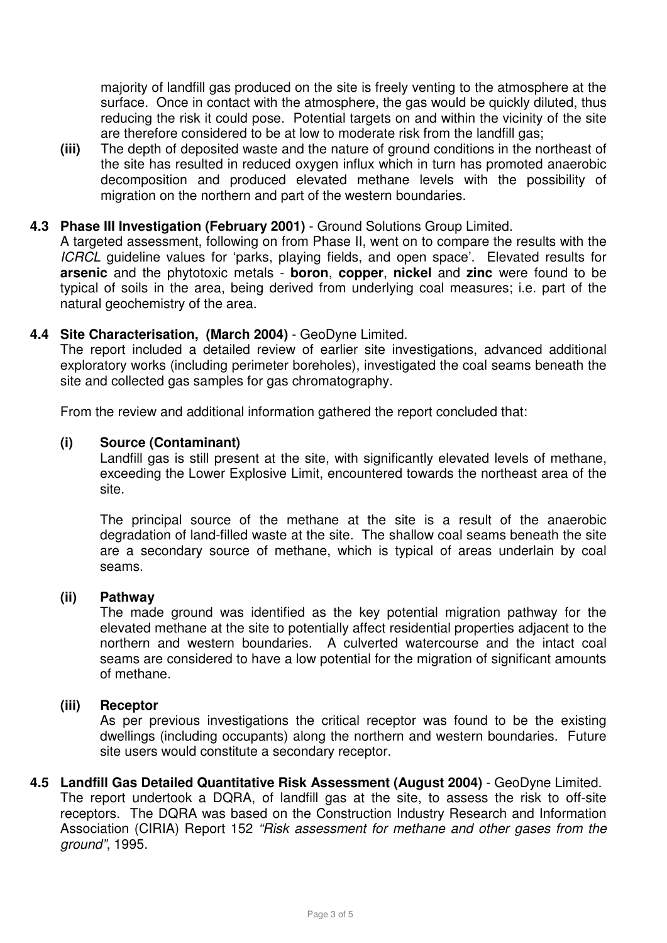majority of landfill gas produced on the site is freely venting to the atmosphere at the surface. Once in contact with the atmosphere, the gas would be quickly diluted, thus reducing the risk it could pose. Potential targets on and within the vicinity of the site are therefore considered to be at low to moderate risk from the landfill gas;

**(iii)** The depth of deposited waste and the nature of ground conditions in the northeast of the site has resulted in reduced oxygen influx which in turn has promoted anaerobic decomposition and produced elevated methane levels with the possibility of migration on the northern and part of the western boundaries.

#### **4.3 Phase III Investigation (February 2001)** - Ground Solutions Group Limited.

A targeted assessment, following on from Phase II, went on to compare the results with the ICRCL guideline values for 'parks, playing fields, and open space'. Elevated results for **arsenic** and the phytotoxic metals - **boron**, **copper**, **nickel** and **zinc** were found to be typical of soils in the area, being derived from underlying coal measures; i.e. part of the natural geochemistry of the area.

# **4.4 Site Characterisation, (March 2004)** - GeoDyne Limited.

The report included a detailed review of earlier site investigations, advanced additional exploratory works (including perimeter boreholes), investigated the coal seams beneath the site and collected gas samples for gas chromatography.

From the review and additional information gathered the report concluded that:

#### **(i) Source (Contaminant)**

Landfill gas is still present at the site, with significantly elevated levels of methane, exceeding the Lower Explosive Limit, encountered towards the northeast area of the site.

The principal source of the methane at the site is a result of the anaerobic degradation of land-filled waste at the site. The shallow coal seams beneath the site are a secondary source of methane, which is typical of areas underlain by coal seams.

#### **(ii) Pathway**

The made ground was identified as the key potential migration pathway for the elevated methane at the site to potentially affect residential properties adjacent to the northern and western boundaries. A culverted watercourse and the intact coal seams are considered to have a low potential for the migration of significant amounts of methane.

#### **(iii) Receptor**

As per previous investigations the critical receptor was found to be the existing dwellings (including occupants) along the northern and western boundaries. Future site users would constitute a secondary receptor.

**4.5 Landfill Gas Detailed Quantitative Risk Assessment (August 2004)** - GeoDyne Limited. The report undertook a DQRA, of landfill gas at the site, to assess the risk to off-site receptors. The DQRA was based on the Construction Industry Research and Information Association (CIRIA) Report 152 "Risk assessment for methane and other gases from the ground", 1995.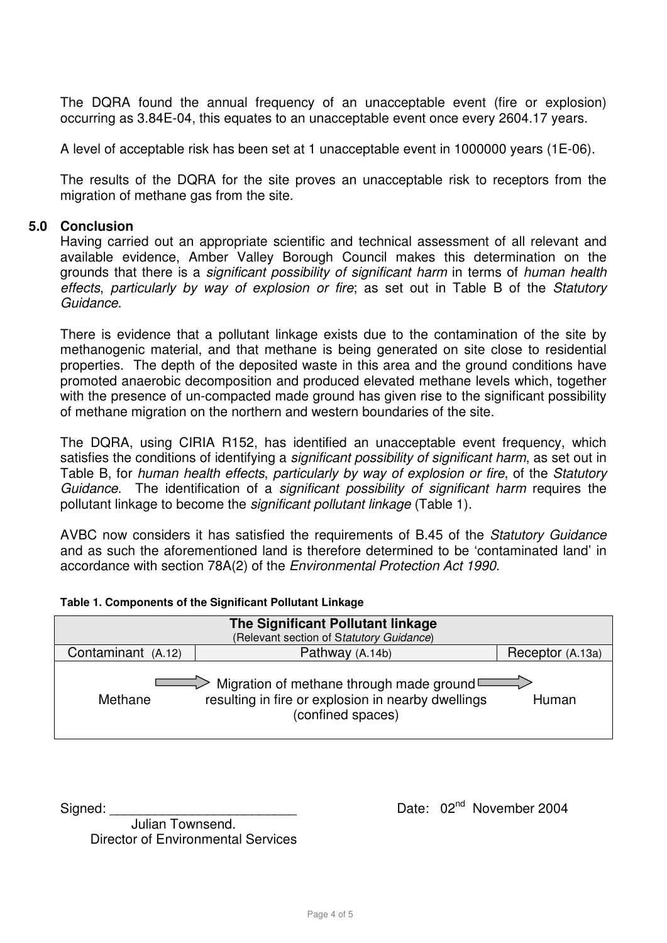The DQRA found the annual frequency of an unacceptable event (fire or explosion) occurring as 3.84E-04, this equates to an unacceptable event once every 2604.17 years.

A level of acceptable risk has been set at 1 unacceptable event in 1000000 years (1E-06).

The results of the DQRA for the site proves an unacceptable risk to receptors from the migration of methane gas from the site.

#### **5.0 Conclusion**

Having carried out an appropriate scientific and technical assessment of all relevant and available evidence, Amber Valley Borough Council makes this determination on the grounds that there is a significant possibility of significant harm in terms of human health effects, particularly by way of explosion or fire; as set out in Table B of the Statutory Guidance.

There is evidence that a pollutant linkage exists due to the contamination of the site by methanogenic material, and that methane is being generated on site close to residential properties. The depth of the deposited waste in this area and the ground conditions have promoted anaerobic decomposition and produced elevated methane levels which, together with the presence of un-compacted made ground has given rise to the significant possibility of methane migration on the northern and western boundaries of the site.

The DQRA, using CIRIA R152, has identified an unacceptable event frequency, which satisfies the conditions of identifying a significant possibility of significant harm, as set out in Table B, for human health effects, particularly by way of explosion or fire, of the Statutory Guidance. The identification of a significant possibility of significant harm requires the pollutant linkage to become the significant pollutant linkage (Table 1).

AVBC now considers it has satisfied the requirements of B.45 of the Statutory Guidance and as such the aforementioned land is therefore determined to be 'contaminated land' in accordance with section 78A(2) of the Environmental Protection Act 1990.

| The Significant Pollutant linkage                                                                                                                     |                 |                  |
|-------------------------------------------------------------------------------------------------------------------------------------------------------|-----------------|------------------|
| (Relevant section of Statutory Guidance)                                                                                                              |                 |                  |
| Contaminant (A.12)                                                                                                                                    | Pathway (A.14b) | Receptor (A.13a) |
| $\geq$ Migration of methane through made ground $\Box$<br>resulting in fire or explosion in nearby dwellings<br>Human<br>Methane<br>(confined spaces) |                 |                  |

**Table 1. Components of the Significant Pollutant Linkage** 

Signed: <br>
Signed: 2004

 Julian Townsend. Director of Environmental Services